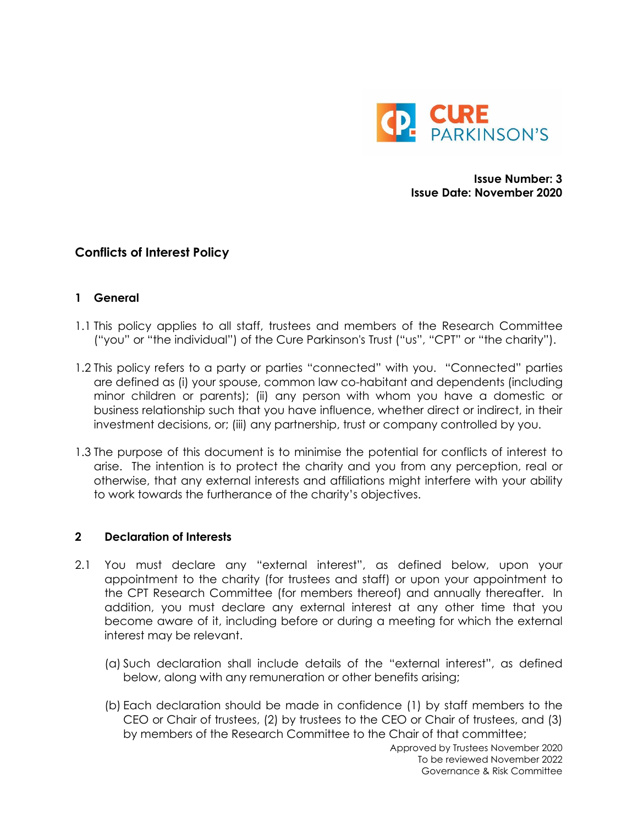

**Issue Number: 3 Issue Date: November 2020**

# **Conflicts of Interest Policy**

### **1 General**

- 1.1 This policy applies to all staff, trustees and members of the Research Committee ("you" or "the individual") of the Cure Parkinson's Trust ("us", "CPT" or "the charity").
- 1.2 This policy refers to a party or parties "connected" with you. "Connected" parties are defined as (i) your spouse, common law co-habitant and dependents (including minor children or parents); (ii) any person with whom you have a domestic or business relationship such that you have influence, whether direct or indirect, in their investment decisions, or; (iii) any partnership, trust or company controlled by you.
- 1.3 The purpose of this document is to minimise the potential for conflicts of interest to arise. The intention is to protect the charity and you from any perception, real or otherwise, that any external interests and affiliations might interfere with your ability to work towards the furtherance of the charity's objectives.

#### **2 Declaration of Interests**

- 2.1 You must declare any "external interest", as defined below, upon your appointment to the charity (for trustees and staff) or upon your appointment to the CPT Research Committee (for members thereof) and annually thereafter. In addition, you must declare any external interest at any other time that you become aware of it, including before or during a meeting for which the external interest may be relevant.
	- (a) Such declaration shall include details of the "external interest", as defined below, along with any remuneration or other benefits arising;
	- (b) Each declaration should be made in confidence (1) by staff members to the CEO or Chair of trustees, (2) by trustees to the CEO or Chair of trustees, and (3) by members of the Research Committee to the Chair of that committee;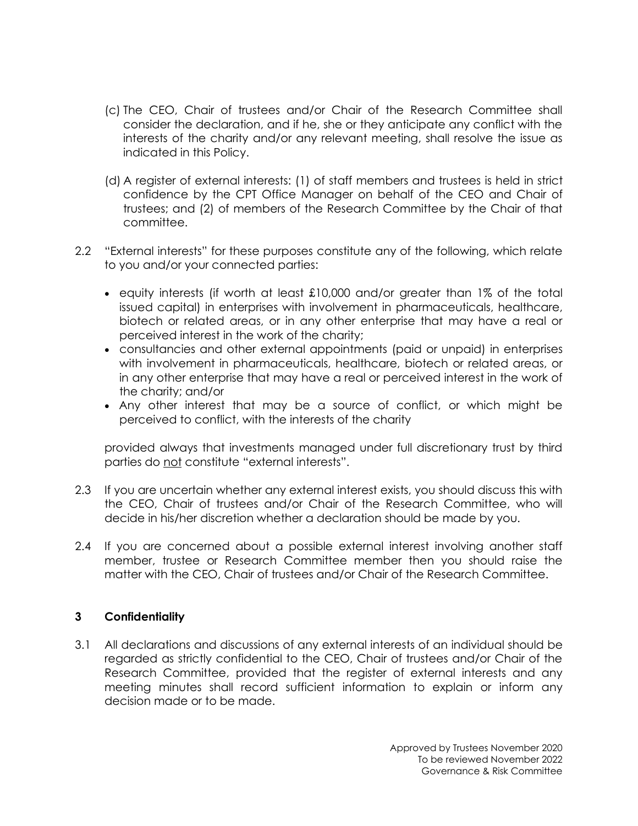- (c) The CEO, Chair of trustees and/or Chair of the Research Committee shall consider the declaration, and if he, she or they anticipate any conflict with the interests of the charity and/or any relevant meeting, shall resolve the issue as indicated in this Policy.
- (d) A register of external interests: (1) of staff members and trustees is held in strict confidence by the CPT Office Manager on behalf of the CEO and Chair of trustees; and (2) of members of the Research Committee by the Chair of that committee.
- 2.2 "External interests" for these purposes constitute any of the following, which relate to you and/or your connected parties:
	- equity interests (if worth at least £10,000 and/or greater than 1% of the total issued capital) in enterprises with involvement in pharmaceuticals, healthcare, biotech or related areas, or in any other enterprise that may have a real or perceived interest in the work of the charity;
	- consultancies and other external appointments (paid or unpaid) in enterprises with involvement in pharmaceuticals, healthcare, biotech or related areas, or in any other enterprise that may have a real or perceived interest in the work of the charity; and/or
	- Any other interest that may be a source of conflict, or which might be perceived to conflict, with the interests of the charity

provided always that investments managed under full discretionary trust by third parties do not constitute "external interests".

- 2.3 If you are uncertain whether any external interest exists, you should discuss this with the CEO, Chair of trustees and/or Chair of the Research Committee, who will decide in his/her discretion whether a declaration should be made by you.
- 2.4 If you are concerned about a possible external interest involving another staff member, trustee or Research Committee member then you should raise the matter with the CEO, Chair of trustees and/or Chair of the Research Committee.

## **3 Confidentiality**

3.1 All declarations and discussions of any external interests of an individual should be regarded as strictly confidential to the CEO, Chair of trustees and/or Chair of the Research Committee, provided that the register of external interests and any meeting minutes shall record sufficient information to explain or inform any decision made or to be made.